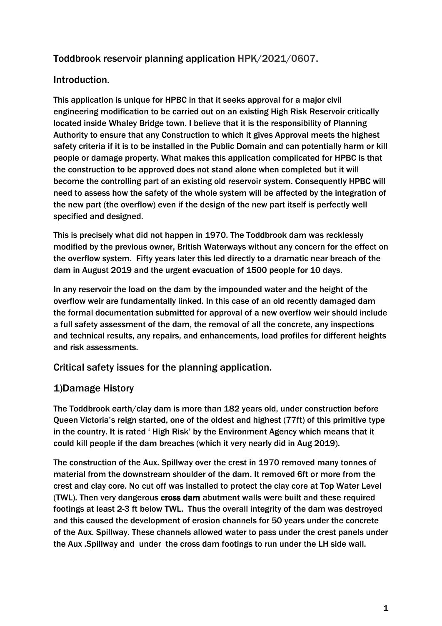# Toddbrook reservoir planning application HPK/2021/0607.

## Introduction.

This application is unique for HPBC in that it seeks approval for a major civil engineering modification to be carried out on an existing High Risk Reservoir critically located inside Whaley Bridge town. I believe that it is the responsibility of Planning Authority to ensure that any Construction to which it gives Approval meets the highest safety criteria if it is to be installed in the Public Domain and can potentially harm or kill people or damage property. What makes this application complicated for HPBC is that the construction to be approved does not stand alone when completed but it will become the controlling part of an existing old reservoir system. Consequently HPBC will need to assess how the safety of the whole system will be affected by the integration of the new part (the overflow) even if the design of the new part itself is perfectly well specified and designed.

This is precisely what did not happen in 1970. The Toddbrook dam was recklessly modified by the previous owner, British Waterways without any concern for the effect on the overflow system. Fifty years later this led directly to a dramatic near breach of the dam in August 2019 and the urgent evacuation of 1500 people for 10 days.

In any reservoir the load on the dam by the impounded water and the height of the overflow weir are fundamentally linked. In this case of an old recently damaged dam the formal documentation submitted for approval of a new overflow weir should include a full safety assessment of the dam, the removal of all the concrete, any inspections and technical results, any repairs, and enhancements, load profiles for different heights and risk assessments.

Critical safety issues for the planning application.

# 1)Damage History

The Toddbrook earth/clay dam is more than 182 years old, under construction before Queen Victoria's reign started, one of the oldest and highest (77ft) of this primitive type in the country. It is rated ' High Risk' by the Environment Agency which means that it could kill people if the dam breaches (which it very nearly did in Aug 2019).

The construction of the Aux. Spillway over the crest in 1970 removed many tonnes of material from the downstream shoulder of the dam. It removed 6ft or more from the crest and clay core. No cut off was installed to protect the clay core at Top Water Level (TWL). Then very dangerous cross dam abutment walls were built and these required footings at least 2-3 ft below TWL. Thus the overall integrity of the dam was destroyed and this caused the development of erosion channels for 50 years under the concrete of the Aux. Spillway. These channels allowed water to pass under the crest panels under the Aux .Spillway and under the cross dam footings to run under the LH side wall.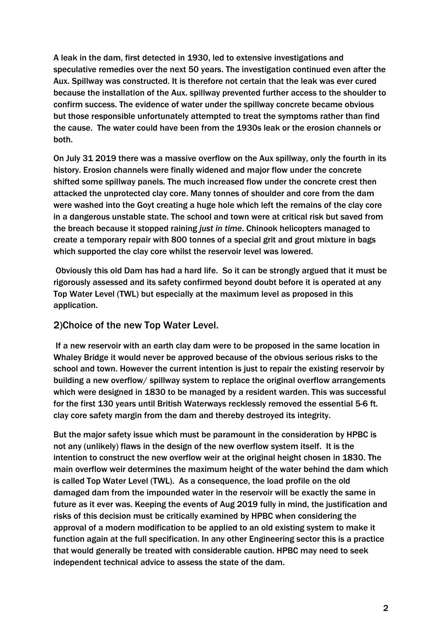A leak in the dam, first detected in 1930, led to extensive investigations and speculative remedies over the next 50 years. The investigation continued even after the Aux. Spillway was constructed. It is therefore not certain that the leak was ever cured because the installation of the Aux. spillway prevented further access to the shoulder to confirm success. The evidence of water under the spillway concrete became obvious but those responsible unfortunately attempted to treat the symptoms rather than find the cause. The water could have been from the 1930s leak or the erosion channels or both.

On July 31 2019 there was a massive overflow on the Aux spillway, only the fourth in its history. Erosion channels were finally widened and major flow under the concrete shifted some spillway panels. The much increased flow under the concrete crest then attacked the unprotected clay core. Many tonnes of shoulder and core from the dam were washed into the Goyt creating a huge hole which left the remains of the clay core in a dangerous unstable state. The school and town were at critical risk but saved from the breach because it stopped raining *just in time*. Chinook helicopters managed to create a temporary repair with 800 tonnes of a special grit and grout mixture in bags which supported the clay core whilst the reservoir level was lowered.

Obviously this old Dam has had a hard life. So it can be strongly argued that it must be rigorously assessed and its safety confirmed beyond doubt before it is operated at any Top Water Level (TWL) but especially at the maximum level as proposed in this application.

### 2)Choice of the new Top Water Level.

If a new reservoir with an earth clay dam were to be proposed in the same location in Whaley Bridge it would never be approved because of the obvious serious risks to the school and town. However the current intention is just to repair the existing reservoir by building a new overflow/ spillway system to replace the original overflow arrangements which were designed in 1830 to be managed by a resident warden. This was successful for the first 130 years until British Waterways recklessly removed the essential 5-6 ft. clay core safety margin from the dam and thereby destroyed its integrity.

But the major safety issue which must be paramount in the consideration by HPBC is not any (unlikely) flaws in the design of the new overflow system itself. It is the intention to construct the new overflow weir at the original height chosen in 1830. The main overflow weir determines the maximum height of the water behind the dam which is called Top Water Level (TWL). As a consequence, the load profile on the old damaged dam from the impounded water in the reservoir will be exactly the same in future as it ever was. Keeping the events of Aug 2019 fully in mind, the justification and risks of this decision must be critically examined by HPBC when considering the approval of a modern modification to be applied to an old existing system to make it function again at the full specification. In any other Engineering sector this is a practice that would generally be treated with considerable caution. HPBC may need to seek independent technical advice to assess the state of the dam.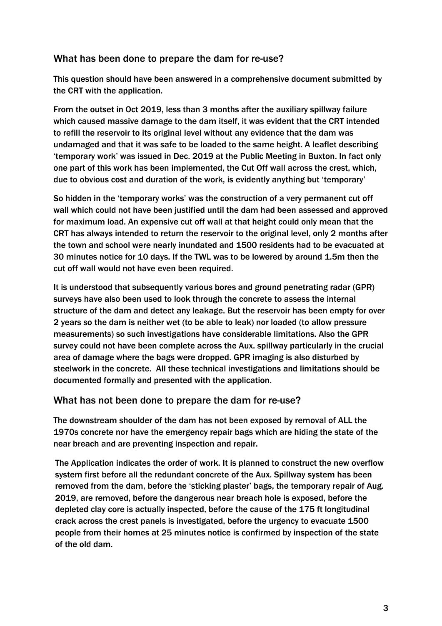### What has been done to prepare the dam for re-use?

This question should have been answered in a comprehensive document submitted by the CRT with the application.

From the outset in Oct 2019, less than 3 months after the auxiliary spillway failure which caused massive damage to the dam itself, it was evident that the CRT intended to refill the reservoir to its original level without any evidence that the dam was undamaged and that it was safe to be loaded to the same height. A leaflet describing 'temporary work' was issued in Dec. 2019 at the Public Meeting in Buxton. In fact only one part of this work has been implemented, the Cut Off wall across the crest, which, due to obvious cost and duration of the work, is evidently anything but 'temporary'

So hidden in the 'temporary works' was the construction of a very permanent cut off wall which could not have been justified until the dam had been assessed and approved for maximum load. An expensive cut off wall at that height could only mean that the CRT has always intended to return the reservoir to the original level, only 2 months after the town and school were nearly inundated and 1500 residents had to be evacuated at 30 minutes notice for 10 days. If the TWL was to be lowered by around 1.5m then the cut off wall would not have even been required.

It is understood that subsequently various bores and ground penetrating radar (GPR) surveys have also been used to look through the concrete to assess the internal structure of the dam and detect any leakage. But the reservoir has been empty for over 2 years so the dam is neither wet (to be able to leak) nor loaded (to allow pressure measurements) so such investigations have considerable limitations. Also the GPR survey could not have been complete across the Aux. spillway particularly in the crucial area of damage where the bags were dropped. GPR imaging is also disturbed by steelwork in the concrete. All these technical investigations and limitations should be documented formally and presented with the application.

### What has not been done to prepare the dam for re-use?

The downstream shoulder of the dam has not been exposed by removal of ALL the 1970s concrete nor have the emergency repair bags which are hiding the state of the near breach and are preventing inspection and repair.

The Application indicates the order of work. It is planned to construct the new overflow system first before all the redundant concrete of the Aux. Spillway system has been removed from the dam, before the 'sticking plaster' bags, the temporary repair of Aug. 2019, are removed, before the dangerous near breach hole is exposed, before the depleted clay core is actually inspected, before the cause of the 175 ft longitudinal crack across the crest panels is investigated, before the urgency to evacuate 1500 people from their homes at 25 minutes notice is confirmed by inspection of the state of the old dam.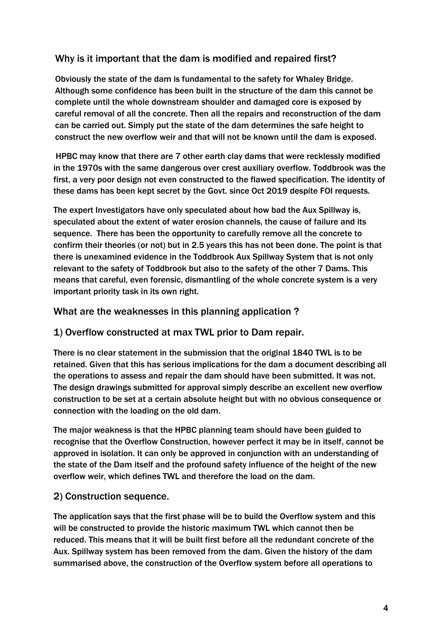## Why is it important that the dam is modified and repaired first?

Obviously the state of the dam is fundamental to the safety for Whaley Bridge. Although some confidence has been built in the structure of the dam this cannot be complete until the whole downstream shoulder and damaged core is exposed by careful removal of all the concrete. Then all the repairs and reconstruction of the dam can be carried out. Simply put the state of the dam determines the safe height to construct the new overflow weir and that will not be known until the dam is exposed.

HPBC may know that there are 7 other earth clay dams that were recklessly modified in the 1970s with the same dangerous over crest auxiliary overflow. Toddbrook was the first, a very poor design not even constructed to the flawed specification. The identity of these dams has been kept secret by the Govt. since Oct 2019 despite FOI requests.

The expert Investigators have only speculated about how bad the Aux Spillway is, speculated about the extent of water erosion channels, the cause of failure and its sequence. There has been the opportunity to carefully remove all the concrete to confirm their theories (or not) but in 2.5 years this has not been done. The point is that there is unexamined evidence in the Toddbrook Aux Spillway System that is not only relevant to the safety of Toddbrook but also to the safety of the other 7 Dams. This means that careful, even forensic, dismantling of the whole concrete system is a very important priority task in its own right.

What are the weaknesses in this planning application ?

### 1) Overflow constructed at max TWL prior to Dam repair.

There is no clear statement in the submission that the original 1840 TWL is to be retained. Given that this has serious implications for the dam a document describing all the operations to assess and repair the dam should have been submitted. It was not. The design drawings submitted for approval simply describe an excellent new overflow construction to be set at a certain absolute height but with no obvious consequence or connection with the loading on the old dam.

The major weakness is that the HPBC planning team should have been guided to recognise that the Overflow Construction, however perfect it may be in itself, cannot be approved in isolation. It can only be approved in conjunction with an understanding of the state of the Dam itself and the profound safety influence of the height of the new overflow weir, which defines TWL and therefore the load on the dam.

### 2) Construction sequence.

The application says that the first phase will be to build the Overflow system and this will be constructed to provide the historic maximum TWL which cannot then be reduced. This means that it will be built first before all the redundant concrete of the Aux. Spillway system has been removed from the dam. Given the history of the dam summarised above, the construction of the Overflow system before all operations to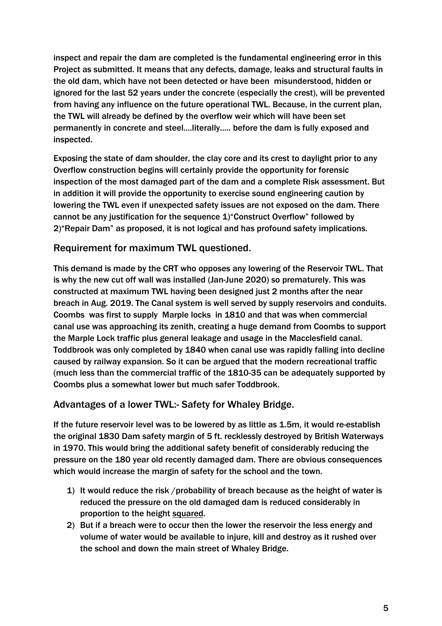inspect and repair the dam are completed is the fundamental engineering error in this Project as submitted. It means that any defects, damage, leaks and structural faults in the old dam, which have not been detected or have been misunderstood, hidden or ignored for the last 52 years under the concrete (especially the crest), will be prevented from having any influence on the future operational TWL. Because, in the current plan, the TWL will already be defined by the overflow weir which will have been set permanently in concrete and steel....literally..... before the dam is fully exposed and inspected.

Exposing the state of dam shoulder, the clay core and its crest to daylight prior to any Overflow construction begins will certainly provide the opportunity for forensic inspection of the most damaged part of the dam and a complete Risk assessment. But in addition it will provide the opportunity to exercise sound engineering caution by lowering the TWL even if unexpected safety issues are not exposed on the dam. There cannot be any justification for the sequence 1)"Construct Overflow" followed by 2)"Repair Dam" as proposed, it is not logical and has profound safety implications.

### Requirement for maximum TWL questioned.

This demand is made by the CRT who opposes any lowering of the Reservoir TWL. That is why the new cut off wall was installed (Jan-June 2020) so prematurely. This was constructed at maximum TWL having been designed just 2 months after the near breach in Aug. 2019. The Canal system is well served by supply reservoirs and conduits. Coombs was first to supply Marple locks in 1810 and that was when commercial canal use was approaching its zenith, creating a huge demand from Coombs to support the Marple Lock traffic plus general leakage and usage in the Macclesfield canal. Toddbrook was only completed by 1840 when canal use was rapidly falling into decline caused by railway expansion. So it can be argued that the modern recreational traffic (much less than the commercial traffic of the 1810-35 can be adequately supported by Coombs plus a somewhat lower but much safer Toddbrook.

### Advantages of a lower TWL:- Safety for Whaley Bridge.

If the future reservoir level was to be lowered by as little as 1.5m, it would re-establish the original 1830 Dam safety margin of 5 ft. recklessly destroyed by British Waterways in 1970. This would bring the additional safety benefit of considerably reducing the pressure on the 180 year old recently damaged dam. There are obvious consequences which would increase the margin of safety for the school and the town.

- 1) It would reduce the risk /probability of breach because as the height of water is reduced the pressure on the old damaged dam is reduced considerably in proportion to the height squared.
- 2) But if a breach were to occur then the lower the reservoir the less energy and volume of water would be available to injure, kill and destroy as it rushed over the school and down the main street of Whaley Bridge.